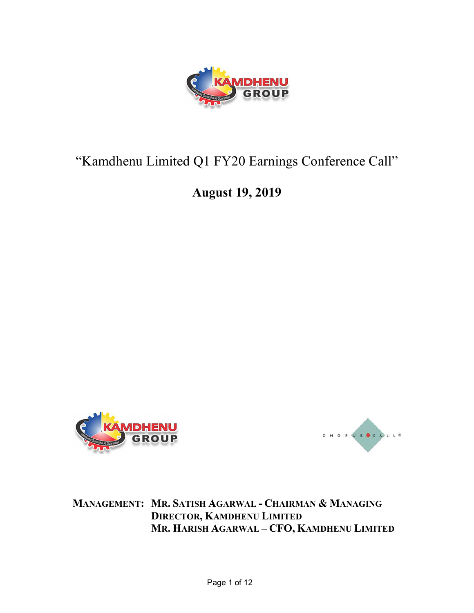

# "Kamdhenu Limited Q1 FY20 Earnings Conference Call"

# August 19, 2019





MANAGEMENT: MR. SATISH AGARWAL - CHAIRMAN & MANAGING DIRECTOR, KAMDHENU LIMITED MR. HARISH AGARWAL – CFO, KAMDHENU LIMITED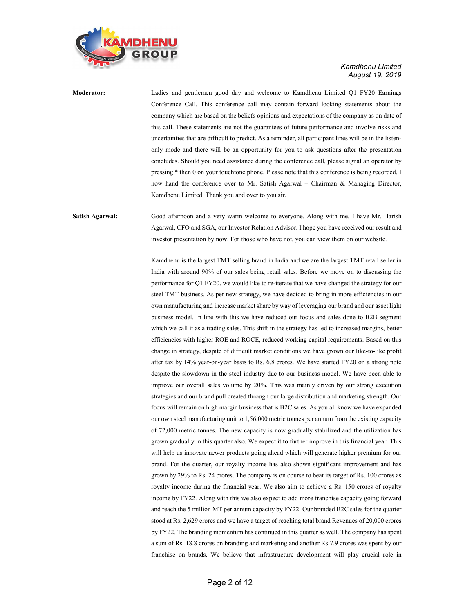

Moderator: Ladies and gentlemen good day and welcome to Kamdhenu Limited Q1 FY20 Earnings Conference Call. This conference call may contain forward looking statements about the company which are based on the beliefs opinions and expectations of the company as on date of this call. These statements are not the guarantees of future performance and involve risks and uncertainties that are difficult to predict. As a reminder, all participant lines will be in the listenonly mode and there will be an opportunity for you to ask questions after the presentation concludes. Should you need assistance during the conference call, please signal an operator by pressing \* then 0 on your touchtone phone. Please note that this conference is being recorded. I now hand the conference over to Mr. Satish Agarwal – Chairman & Managing Director, Kamdhenu Limited. Thank you and over to you sir.

Satish Agarwal: Good afternoon and a very warm welcome to everyone. Along with me, I have Mr. Harish Agarwal, CFO and SGA, our Investor Relation Advisor. I hope you have received our result and investor presentation by now. For those who have not, you can view them on our website.

> Kamdhenu is the largest TMT selling brand in India and we are the largest TMT retail seller in India with around 90% of our sales being retail sales. Before we move on to discussing the performance for Q1 FY20, we would like to re-iterate that we have changed the strategy for our steel TMT business. As per new strategy, we have decided to bring in more efficiencies in our own manufacturing and increase market share by way of leveraging our brand and our asset light business model. In line with this we have reduced our focus and sales done to B2B segment which we call it as a trading sales. This shift in the strategy has led to increased margins, better efficiencies with higher ROE and ROCE, reduced working capital requirements. Based on this change in strategy, despite of difficult market conditions we have grown our like-to-like profit after tax by 14% year-on-year basis to Rs. 6.8 crores. We have started FY20 on a strong note despite the slowdown in the steel industry due to our business model. We have been able to improve our overall sales volume by 20%. This was mainly driven by our strong execution strategies and our brand pull created through our large distribution and marketing strength. Our focus will remain on high margin business that is B2C sales. As you all know we have expanded our own steel manufacturing unit to 1,56,000 metric tonnes per annum from the existing capacity of 72,000 metric tonnes. The new capacity is now gradually stabilized and the utilization has grown gradually in this quarter also. We expect it to further improve in this financial year. This will help us innovate newer products going ahead which will generate higher premium for our brand. For the quarter, our royalty income has also shown significant improvement and has grown by 29% to Rs. 24 crores. The company is on course to beat its target of Rs. 100 crores as royalty income during the financial year. We also aim to achieve a Rs. 150 crores of royalty income by FY22. Along with this we also expect to add more franchise capacity going forward and reach the 5 million MT per annum capacity by FY22. Our branded B2C sales for the quarter stood at Rs. 2,629 crores and we have a target of reaching total brand Revenues of 20,000 crores by FY22. The branding momentum has continued in this quarter as well. The company has spent a sum of Rs. 18.8 crores on branding and marketing and another Rs.7.9 crores was spent by our franchise on brands. We believe that infrastructure development will play crucial role in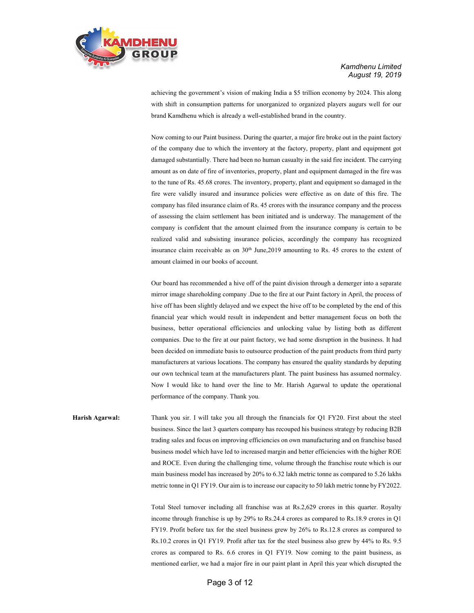

achieving the government's vision of making India a \$5 trillion economy by 2024. This along with shift in consumption patterns for unorganized to organized players augurs well for our brand Kamdhenu which is already a well-established brand in the country.

Now coming to our Paint business. During the quarter, a major fire broke out in the paint factory of the company due to which the inventory at the factory, property, plant and equipment got damaged substantially. There had been no human casualty in the said fire incident. The carrying amount as on date of fire of inventories, property, plant and equipment damaged in the fire was to the tune of Rs. 45.68 crores. The inventory, property, plant and equipment so damaged in the fire were validly insured and insurance policies were effective as on date of this fire. The company has filed insurance claim of Rs. 45 crores with the insurance company and the process of assessing the claim settlement has been initiated and is underway. The management of the company is confident that the amount claimed from the insurance company is certain to be realized valid and subsisting insurance policies, accordingly the company has recognized insurance claim receivable as on 30<sup>th</sup> June,2019 amounting to Rs. 45 crores to the extent of amount claimed in our books of account.

Our board has recommended a hive off of the paint division through a demerger into a separate mirror image shareholding company .Due to the fire at our Paint factory in April, the process of hive off has been slightly delayed and we expect the hive off to be completed by the end of this financial year which would result in independent and better management focus on both the business, better operational efficiencies and unlocking value by listing both as different companies. Due to the fire at our paint factory, we had some disruption in the business. It had been decided on immediate basis to outsource production of the paint products from third party manufacturers at various locations. The company has ensured the quality standards by deputing our own technical team at the manufacturers plant. The paint business has assumed normalcy. Now I would like to hand over the line to Mr. Harish Agarwal to update the operational performance of the company. Thank you.

Harish Agarwal: Thank you sir. I will take you all through the financials for Q1 FY20. First about the steel business. Since the last 3 quarters company has recouped his business strategy by reducing B2B trading sales and focus on improving efficiencies on own manufacturing and on franchise based business model which have led to increased margin and better efficiencies with the higher ROE and ROCE. Even during the challenging time, volume through the franchise route which is our main business model has increased by 20% to 6.32 lakh metric tonne as compared to 5.26 lakhs metric tonne in Q1 FY19. Our aim is to increase our capacity to 50 lakh metric tonne by FY2022.

> Total Steel turnover including all franchise was at Rs.2,629 crores in this quarter. Royalty income through franchise is up by 29% to Rs.24.4 crores as compared to Rs.18.9 crores in Q1 FY19. Profit before tax for the steel business grew by 26% to Rs.12.8 crores as compared to Rs.10.2 crores in Q1 FY19. Profit after tax for the steel business also grew by 44% to Rs. 9.5 crores as compared to Rs. 6.6 crores in Q1 FY19. Now coming to the paint business, as mentioned earlier, we had a major fire in our paint plant in April this year which disrupted the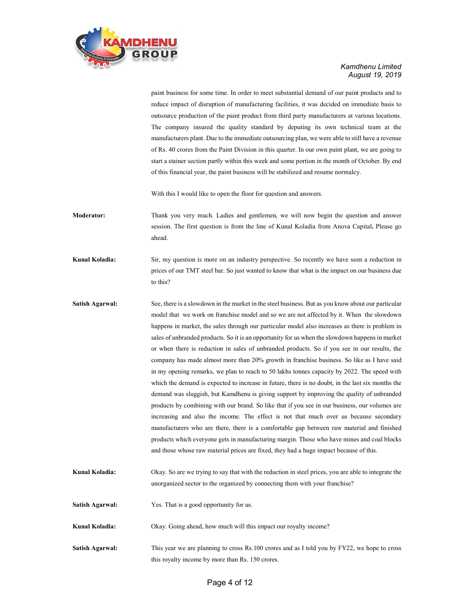

paint business for some time. In order to meet substantial demand of our paint products and to reduce impact of disruption of manufacturing facilities, it was decided on immediate basis to outsource production of the paint product from third party manufacturers at various locations. The company insured the quality standard by deputing its own technical team at the manufacturers plant. Due to the immediate outsourcing plan, we were able to still have a revenue of Rs. 40 crores from the Paint Division in this quarter. In our own paint plant, we are going to start a stainer section partly within this week and some portion in the month of October. By end of this financial year, the paint business will be stabilized and resume normalcy.

With this I would like to open the floor for question and answers.

Moderator: Thank you very much. Ladies and gentlemen, we will now begin the question and answer session. The first question is from the line of Kunal Koladia from Anova Capital. Please go ahead.

Kunal Koladia: Sir, my question is more on an industry perspective. So recently we have seen a reduction in prices of our TMT steel bar. So just wanted to know that what is the impact on our business due to this?

- Satish Agarwal: See, there is a slowdown in the market in the steel business. But as you know about our particular model that we work on franchise model and so we are not affected by it. When the slowdown happens in market, the sales through our particular model also increases as there is problem in sales of unbranded products. So it is an opportunity for us when the slowdown happens in market or when there is reduction in sales of unbranded products. So if you see in our results, the company has made almost more than 20% growth in franchise business. So like as I have said in my opening remarks, we plan to reach to 50 lakhs tonnes capacity by 2022. The speed with which the demand is expected to increase in future, there is no doubt, in the last six months the demand was sluggish, but Kamdhenu is giving support by improving the quality of unbranded products by combining with our brand. So like that if you see in our business, our volumes are increasing and also the income. The effect is not that much over us because secondary manufacturers who are there, there is a comfortable gap between raw material and finished products which everyone gets in manufacturing margin. Those who have mines and coal blocks and those whose raw material prices are fixed, they had a huge impact because of this.
- Kunal Koladia: Okay. So are we trying to say that with the reduction in steel prices, you are able to integrate the unorganized sector to the organized by connecting them with your franchise?
- Satish Agarwal: Yes. That is a good opportunity for us.

Kunal Koladia: Okay. Going ahead, how much will this impact our royalty income?

Satish Agarwal: This year we are planning to cross Rs.100 crores and as I told you by FY22, we hope to cross this royalty income by more than Rs. 150 crores.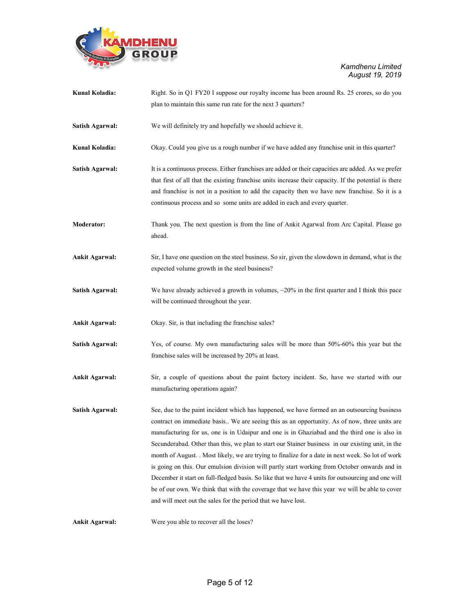

| Kunal Koladia:         | Right. So in Q1 FY20 I suppose our royalty income has been around Rs. 25 crores, so do you                                                                                                                                                                                                                                                                                                                                                                                                                                                                                                                                                                                                                                                                                                                                                                                     |
|------------------------|--------------------------------------------------------------------------------------------------------------------------------------------------------------------------------------------------------------------------------------------------------------------------------------------------------------------------------------------------------------------------------------------------------------------------------------------------------------------------------------------------------------------------------------------------------------------------------------------------------------------------------------------------------------------------------------------------------------------------------------------------------------------------------------------------------------------------------------------------------------------------------|
|                        | plan to maintain this same run rate for the next 3 quarters?                                                                                                                                                                                                                                                                                                                                                                                                                                                                                                                                                                                                                                                                                                                                                                                                                   |
| Satish Agarwal:        | We will definitely try and hopefully we should achieve it.                                                                                                                                                                                                                                                                                                                                                                                                                                                                                                                                                                                                                                                                                                                                                                                                                     |
| Kunal Koladia:         | Okay. Could you give us a rough number if we have added any franchise unit in this quarter?                                                                                                                                                                                                                                                                                                                                                                                                                                                                                                                                                                                                                                                                                                                                                                                    |
| <b>Satish Agarwal:</b> | It is a continuous process. Either franchises are added or their capacities are added. As we prefer<br>that first of all that the existing franchise units increase their capacity. If the potential is there<br>and franchise is not in a position to add the capacity then we have new franchise. So it is a<br>continuous process and so some units are added in each and every quarter.                                                                                                                                                                                                                                                                                                                                                                                                                                                                                    |
| <b>Moderator:</b>      | Thank you. The next question is from the line of Ankit Agarwal from Arc Capital. Please go<br>ahead.                                                                                                                                                                                                                                                                                                                                                                                                                                                                                                                                                                                                                                                                                                                                                                           |
| <b>Ankit Agarwal:</b>  | Sir, I have one question on the steel business. So sir, given the slowdown in demand, what is the<br>expected volume growth in the steel business?                                                                                                                                                                                                                                                                                                                                                                                                                                                                                                                                                                                                                                                                                                                             |
| Satish Agarwal:        | We have already achieved a growth in volumes, $\sim$ 20% in the first quarter and I think this pace<br>will be continued throughout the year.                                                                                                                                                                                                                                                                                                                                                                                                                                                                                                                                                                                                                                                                                                                                  |
| <b>Ankit Agarwal:</b>  | Okay. Sir, is that including the franchise sales?                                                                                                                                                                                                                                                                                                                                                                                                                                                                                                                                                                                                                                                                                                                                                                                                                              |
| Satish Agarwal:        | Yes, of course. My own manufacturing sales will be more than 50%-60% this year but the<br>franchise sales will be increased by 20% at least.                                                                                                                                                                                                                                                                                                                                                                                                                                                                                                                                                                                                                                                                                                                                   |
| <b>Ankit Agarwal:</b>  | Sir, a couple of questions about the paint factory incident. So, have we started with our<br>manufacturing operations again?                                                                                                                                                                                                                                                                                                                                                                                                                                                                                                                                                                                                                                                                                                                                                   |
| <b>Satish Agarwal:</b> | See, due to the paint incident which has happened, we have formed an an outsourcing business<br>contract on immediate basis We are seeing this as an opportunity. As of now, three units are<br>manufacturing for us, one is in Udaipur and one is in Ghaziabad and the third one is also in<br>Secunderabad. Other than this, we plan to start our Stainer business in our existing unit, in the<br>month of August. Most likely, we are trying to finalize for a date in next week. So lot of work<br>is going on this. Our emulsion division will partly start working from October onwards and in<br>December it start on full-fledged basis. So like that we have 4 units for outsourcing and one will<br>be of our own. We think that with the coverage that we have this year we will be able to cover<br>and will meet out the sales for the period that we have lost. |
| <b>Ankit Agarwal:</b>  | Were you able to recover all the loses?                                                                                                                                                                                                                                                                                                                                                                                                                                                                                                                                                                                                                                                                                                                                                                                                                                        |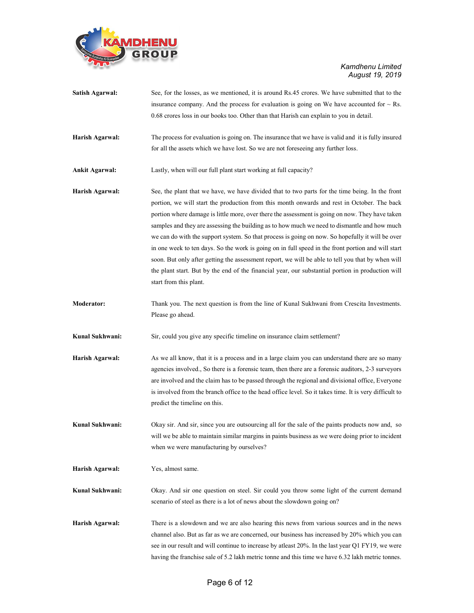

| Satish Agarwal:       | See, for the losses, as we mentioned, it is around Rs.45 crores. We have submitted that to the<br>insurance company. And the process for evaluation is going on We have accounted for $\sim$ Rs.<br>0.68 crores loss in our books too. Other than that Harish can explain to you in detail.                                                                                                                                                                                                                                                                                                                                                                                                                                                                                                                                                     |
|-----------------------|-------------------------------------------------------------------------------------------------------------------------------------------------------------------------------------------------------------------------------------------------------------------------------------------------------------------------------------------------------------------------------------------------------------------------------------------------------------------------------------------------------------------------------------------------------------------------------------------------------------------------------------------------------------------------------------------------------------------------------------------------------------------------------------------------------------------------------------------------|
| Harish Agarwal:       | The process for evaluation is going on. The insurance that we have is valid and it is fully insured<br>for all the assets which we have lost. So we are not foreseeing any further loss.                                                                                                                                                                                                                                                                                                                                                                                                                                                                                                                                                                                                                                                        |
| <b>Ankit Agarwal:</b> | Lastly, when will our full plant start working at full capacity?                                                                                                                                                                                                                                                                                                                                                                                                                                                                                                                                                                                                                                                                                                                                                                                |
| Harish Agarwal:       | See, the plant that we have, we have divided that to two parts for the time being. In the front<br>portion, we will start the production from this month onwards and rest in October. The back<br>portion where damage is little more, over there the assessment is going on now. They have taken<br>samples and they are assessing the building as to how much we need to dismantle and how much<br>we can do with the support system. So that process is going on now. So hopefully it will be over<br>in one week to ten days. So the work is going on in full speed in the front portion and will start<br>soon. But only after getting the assessment report, we will be able to tell you that by when will<br>the plant start. But by the end of the financial year, our substantial portion in production will<br>start from this plant. |
| <b>Moderator:</b>     | Thank you. The next question is from the line of Kunal Sukhwani from Crescita Investments.<br>Please go ahead.                                                                                                                                                                                                                                                                                                                                                                                                                                                                                                                                                                                                                                                                                                                                  |
| Kunal Sukhwani:       | Sir, could you give any specific timeline on insurance claim settlement?                                                                                                                                                                                                                                                                                                                                                                                                                                                                                                                                                                                                                                                                                                                                                                        |
| Harish Agarwal:       | As we all know, that it is a process and in a large claim you can understand there are so many<br>agencies involved., So there is a forensic team, then there are a forensic auditors, 2-3 surveyors<br>are involved and the claim has to be passed through the regional and divisional office, Everyone<br>is involved from the branch office to the head office level. So it takes time. It is very difficult to<br>predict the timeline on this.                                                                                                                                                                                                                                                                                                                                                                                             |
| Kunal Sukhwani:       | Okay sir. And sir, since you are outsourcing all for the sale of the paints products now and, so<br>will we be able to maintain similar margins in paints business as we were doing prior to incident<br>when we were manufacturing by ourselves?                                                                                                                                                                                                                                                                                                                                                                                                                                                                                                                                                                                               |
| Harish Agarwal:       | Yes, almost same.                                                                                                                                                                                                                                                                                                                                                                                                                                                                                                                                                                                                                                                                                                                                                                                                                               |
| Kunal Sukhwani:       | Okay. And sir one question on steel. Sir could you throw some light of the current demand<br>scenario of steel as there is a lot of news about the slowdown going on?                                                                                                                                                                                                                                                                                                                                                                                                                                                                                                                                                                                                                                                                           |
| Harish Agarwal:       | There is a slowdown and we are also hearing this news from various sources and in the news<br>channel also. But as far as we are concerned, our business has increased by 20% which you can<br>see in our result and will continue to increase by atleast 20%. In the last year Q1 FY19, we were                                                                                                                                                                                                                                                                                                                                                                                                                                                                                                                                                |

having the franchise sale of 5.2 lakh metric tonne and this time we have 6.32 lakh metric tonnes.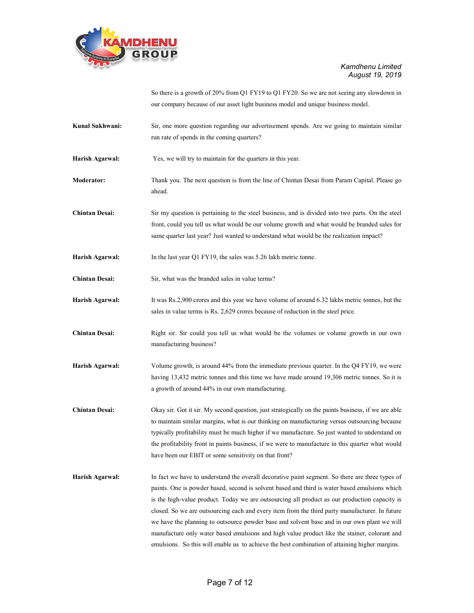

So there is a growth of 20% from Q1 FY19 to Q1 FY20. So we are not seeing any slowdown in our company because of our asset light business model and unique business model.

Kunal Sukhwani: Sir, one more question regarding our advertisement spends. Are we going to maintain similar run rate of spends in the coming quarters?

Harish Agarwal: Yes, we will try to maintain for the quarters in this year.

- Moderator: Thank you. The next question is from the line of Chintan Desai from Param Capital. Please go ahead.
- Chintan Desai: Sir my question is pertaining to the steel business, and is divided into two parts. On the steel front, could you tell us what would be our volume growth and what would be branded sales for same quarter last year? Just wanted to understand what would be the realization impact?
- Harish Agarwal: In the last year Q1 FY19, the sales was 5.26 lakh metric tonne.
- Chintan Desai: Sir, what was the branded sales in value terms?
- Harish Agarwal: It was Rs.2,900 crores and this year we have volume of around 6.32 lakhs metric tonnes, but the sales in value terms is Rs. 2,629 crores because of reduction in the steel price.
- Chintan Desai: Right sir. Sir could you tell us what would be the volumes or volume growth in our own manufacturing business?
- Harish Agarwal: Volume growth, is around 44% from the immediate previous quarter. In the Q4 FY19, we were having 13,432 metric tonnes and this time we have made around 19,306 metric tonnes. So it is a growth of around 44% in our own manufacturing.
- Chintan Desai: Okay sir. Got it sir. My second question, just strategically on the paints business, if we are able to maintain similar margins, what is our thinking on manufacturing versus outsourcing because typically profitability must be much higher if we manufacture. So just wanted to understand on the profitability front in paints business, if we were to manufacture in this quarter what would have been our EBIT or some sensitivity on that front?
- Harish Agarwal: In fact we have to understand the overall decorative paint segment. So there are three types of paints. One is powder based, second is solvent based and third is water based emulsions which is the high-value product. Today we are outsourcing all product as our production capacity is closed. So we are outsourcing each and every item from the third party manufacturer. In future we have the planning to outsource powder base and solvent base and in our own plant we will manufacture only water based emulsions and high value product like the stainer, colorant and emulsions. So this will enable us to achieve the best combination of attaining higher margins.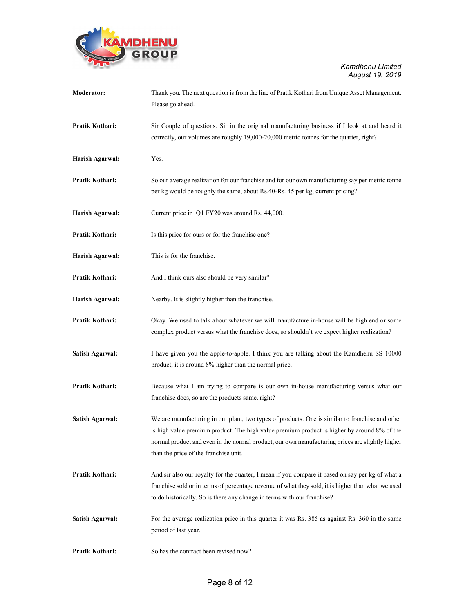

| <b>Moderator:</b>      | Thank you. The next question is from the line of Pratik Kothari from Unique Asset Management.<br>Please go ahead.                                                                                                                                                                                                                          |
|------------------------|--------------------------------------------------------------------------------------------------------------------------------------------------------------------------------------------------------------------------------------------------------------------------------------------------------------------------------------------|
| Pratik Kothari:        | Sir Couple of questions. Sir in the original manufacturing business if I look at and heard it<br>correctly, our volumes are roughly 19,000-20,000 metric tonnes for the quarter, right?                                                                                                                                                    |
| Harish Agarwal:        | Yes.                                                                                                                                                                                                                                                                                                                                       |
| Pratik Kothari:        | So our average realization for our franchise and for our own manufacturing say per metric tonne<br>per kg would be roughly the same, about Rs.40-Rs. 45 per kg, current pricing?                                                                                                                                                           |
| Harish Agarwal:        | Current price in Q1 FY20 was around Rs. 44,000.                                                                                                                                                                                                                                                                                            |
| Pratik Kothari:        | Is this price for ours or for the franchise one?                                                                                                                                                                                                                                                                                           |
| Harish Agarwal:        | This is for the franchise.                                                                                                                                                                                                                                                                                                                 |
| Pratik Kothari:        | And I think ours also should be very similar?                                                                                                                                                                                                                                                                                              |
| Harish Agarwal:        | Nearby. It is slightly higher than the franchise.                                                                                                                                                                                                                                                                                          |
| Pratik Kothari:        | Okay. We used to talk about whatever we will manufacture in-house will be high end or some<br>complex product versus what the franchise does, so shouldn't we expect higher realization?                                                                                                                                                   |
| Satish Agarwal:        | I have given you the apple-to-apple. I think you are talking about the Kamdhenu SS 10000<br>product, it is around 8% higher than the normal price.                                                                                                                                                                                         |
| Pratik Kothari:        | Because what I am trying to compare is our own in-house manufacturing versus what our<br>franchise does, so are the products same, right?                                                                                                                                                                                                  |
| Satish Agarwal:        | We are manufacturing in our plant, two types of products. One is similar to franchise and other<br>is high value premium product. The high value premium product is higher by around 8% of the<br>normal product and even in the normal product, our own manufacturing prices are slightly higher<br>than the price of the franchise unit. |
| Pratik Kothari:        | And sir also our royalty for the quarter, I mean if you compare it based on say per kg of what a<br>franchise sold or in terms of percentage revenue of what they sold, it is higher than what we used<br>to do historically. So is there any change in terms with our franchise?                                                          |
| <b>Satish Agarwal:</b> | For the average realization price in this quarter it was Rs. 385 as against Rs. 360 in the same<br>period of last year.                                                                                                                                                                                                                    |
| Pratik Kothari:        | So has the contract been revised now?                                                                                                                                                                                                                                                                                                      |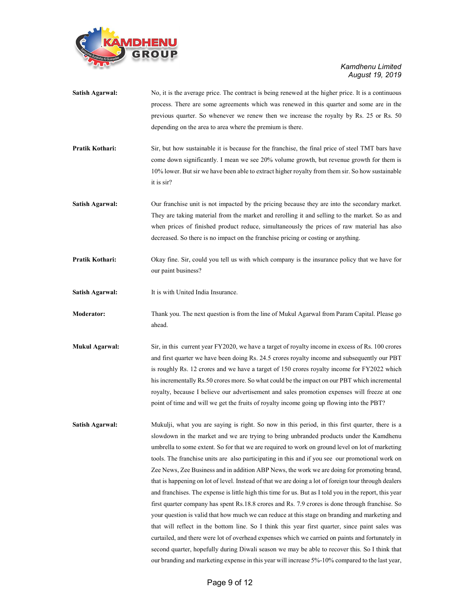

| <b>Satish Agarwal:</b> | No, it is the average price. The contract is being renewed at the higher price. It is a continuous<br>process. There are some agreements which was renewed in this quarter and some are in the |  |
|------------------------|------------------------------------------------------------------------------------------------------------------------------------------------------------------------------------------------|--|
|                        | previous quarter. So whenever we renew then we increase the royalty by Rs. 25 or Rs. 50                                                                                                        |  |
|                        | depending on the area to area where the premium is there.                                                                                                                                      |  |
| Pratik Kothari:        | Sir, but how sustainable it is because for the franchise, the final price of steel TMT bars have                                                                                               |  |
|                        | come down significantly. I mean we see 20% volume growth, but revenue growth for them is                                                                                                       |  |
|                        | 10% lower. But sir we have been able to extract higher royalty from them sir. So how sustainable<br>it is sir?                                                                                 |  |
| <b>Satish Agarwal:</b> | Our franchise unit is not impacted by the pricing because they are into the secondary market.                                                                                                  |  |
|                        | They are taking material from the market and rerolling it and selling to the market. So as and                                                                                                 |  |
|                        | when prices of finished product reduce, simultaneously the prices of raw material has also                                                                                                     |  |
|                        | decreased. So there is no impact on the franchise pricing or costing or anything.                                                                                                              |  |
| Pratik Kothari:        | Okay fine. Sir, could you tell us with which company is the insurance policy that we have for<br>our paint business?                                                                           |  |
| <b>Satish Agarwal:</b> | It is with United India Insurance.                                                                                                                                                             |  |
| <b>Moderator:</b>      | Thank you. The next question is from the line of Mukul Agarwal from Param Capital. Please go<br>ahead.                                                                                         |  |
| <b>Mukul Agarwal:</b>  | Sir, in this current year FY2020, we have a target of royalty income in excess of Rs. 100 crores                                                                                               |  |
|                        | and first quarter we have been doing Rs. 24.5 crores royalty income and subsequently our PBT                                                                                                   |  |
|                        | is roughly Rs. 12 crores and we have a target of 150 crores royalty income for FY2022 which                                                                                                    |  |
|                        | his incrementally Rs.50 crores more. So what could be the impact on our PBT which incremental                                                                                                  |  |
|                        | royalty, because I believe our advertisement and sales promotion expenses will freeze at one                                                                                                   |  |
|                        | point of time and will we get the fruits of royalty income going up flowing into the PBT?                                                                                                      |  |
| <b>Satish Agarwal:</b> | Mukulji, what you are saying is right. So now in this period, in this first quarter, there is a                                                                                                |  |
|                        | slowdown in the market and we are trying to bring unbranded products under the Kamdhenu                                                                                                        |  |
|                        | umbrella to some extent. So for that we are required to work on ground level on lot of marketing                                                                                               |  |
|                        | tools. The franchise units are also participating in this and if you see our promotional work on                                                                                               |  |
|                        | Zee News, Zee Business and in addition ABP News, the work we are doing for promoting brand,                                                                                                    |  |
|                        | that is happening on lot of level. Instead of that we are doing a lot of foreign tour through dealers                                                                                          |  |
|                        | and franchises. The expense is little high this time for us. But as I told you in the report, this year                                                                                        |  |
|                        | first quarter company has spent Rs.18.8 crores and Rs. 7.9 crores is done through franchise. So                                                                                                |  |
|                        | your question is valid that how much we can reduce at this stage on branding and marketing and                                                                                                 |  |
|                        | that will reflect in the bottom line. So I think this year first quarter, since paint sales was                                                                                                |  |
|                        | curtailed, and there were lot of overhead expenses which we carried on paints and fortunately in                                                                                               |  |
|                        | second quarter, hopefully during Diwali season we may be able to recover this. So I think that                                                                                                 |  |
|                        | our branding and marketing expense in this year will increase 5%-10% compared to the last year,                                                                                                |  |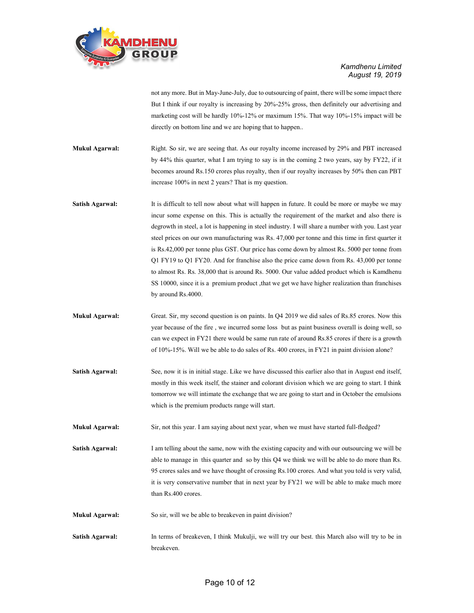

not any more. But in May-June-July, due to outsourcing of paint, there will be some impact there But I think if our royalty is increasing by 20%-25% gross, then definitely our advertising and marketing cost will be hardly 10%-12% or maximum 15%. That way 10%-15% impact will be directly on bottom line and we are hoping that to happen..

- Mukul Agarwal: Right. So sir, we are seeing that. As our royalty income increased by 29% and PBT increased by 44% this quarter, what I am trying to say is in the coming 2 two years, say by FY22, if it becomes around Rs.150 crores plus royalty, then if our royalty increases by 50% then can PBT increase 100% in next 2 years? That is my question.
- Satish Agarwal: It is difficult to tell now about what will happen in future. It could be more or maybe we may incur some expense on this. This is actually the requirement of the market and also there is degrowth in steel, a lot is happening in steel industry. I will share a number with you. Last year steel prices on our own manufacturing was Rs. 47,000 per tonne and this time in first quarter it is Rs.42,000 per tonne plus GST. Our price has come down by almost Rs. 5000 per tonne from Q1 FY19 to Q1 FY20. And for franchise also the price came down from Rs. 43,000 per tonne to almost Rs. Rs. 38,000 that is around Rs. 5000. Our value added product which is Kamdhenu SS 10000, since it is a premium product , that we get we have higher realization than franchises by around Rs.4000.
- Mukul Agarwal: Great. Sir, my second question is on paints. In Q4 2019 we did sales of Rs.85 crores. Now this year because of the fire , we incurred some loss but as paint business overall is doing well, so can we expect in FY21 there would be same run rate of around Rs.85 crores if there is a growth of 10%-15%. Will we be able to do sales of Rs. 400 crores, in FY21 in paint division alone?
- Satish Agarwal: See, now it is in initial stage. Like we have discussed this earlier also that in August end itself, mostly in this week itself, the stainer and colorant division which we are going to start. I think tomorrow we will intimate the exchange that we are going to start and in October the emulsions which is the premium products range will start.

Mukul Agarwal: Sir, not this year. I am saying about next year, when we must have started full-fledged?

- Satish Agarwal: I am telling about the same, now with the existing capacity and with our outsourcing we will be able to manage in this quarter and so by this Q4 we think we will be able to do more than Rs. 95 crores sales and we have thought of crossing Rs.100 crores. And what you told is very valid, it is very conservative number that in next year by FY21 we will be able to make much more than Rs.400 crores.
- Mukul Agarwal: So sir, will we be able to breakeven in paint division?
- Satish Agarwal: In terms of breakeven, I think Mukulji, we will try our best. this March also will try to be in breakeven.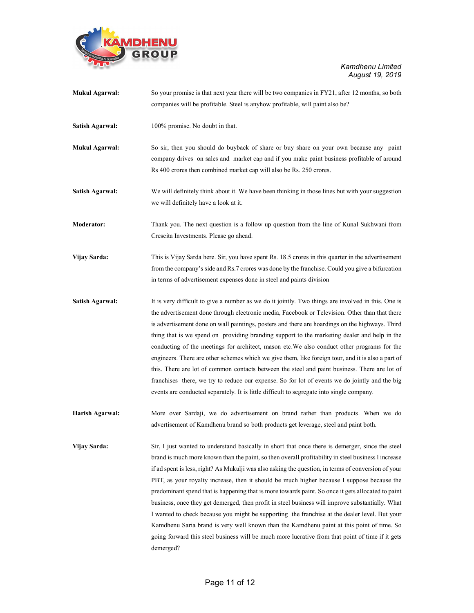

| <b>Mukul Agarwal:</b>  | So your promise is that next year there will be two companies in FY21, after 12 months, so both<br>companies will be profitable. Steel is anyhow profitable, will paint also be?                                                                                                                                                                                                                                                                                                                                                                                                                                                                                                                                                                                                                                                                                                                                                      |
|------------------------|---------------------------------------------------------------------------------------------------------------------------------------------------------------------------------------------------------------------------------------------------------------------------------------------------------------------------------------------------------------------------------------------------------------------------------------------------------------------------------------------------------------------------------------------------------------------------------------------------------------------------------------------------------------------------------------------------------------------------------------------------------------------------------------------------------------------------------------------------------------------------------------------------------------------------------------|
| <b>Satish Agarwal:</b> | 100% promise. No doubt in that.                                                                                                                                                                                                                                                                                                                                                                                                                                                                                                                                                                                                                                                                                                                                                                                                                                                                                                       |
| <b>Mukul Agarwal:</b>  | So sir, then you should do buyback of share or buy share on your own because any paint<br>company drives on sales and market cap and if you make paint business profitable of around<br>Rs 400 crores then combined market cap will also be Rs. 250 crores.                                                                                                                                                                                                                                                                                                                                                                                                                                                                                                                                                                                                                                                                           |
| Satish Agarwal:        | We will definitely think about it. We have been thinking in those lines but with your suggestion<br>we will definitely have a look at it.                                                                                                                                                                                                                                                                                                                                                                                                                                                                                                                                                                                                                                                                                                                                                                                             |
| <b>Moderator:</b>      | Thank you. The next question is a follow up question from the line of Kunal Sukhwani from<br>Crescita Investments. Please go ahead.                                                                                                                                                                                                                                                                                                                                                                                                                                                                                                                                                                                                                                                                                                                                                                                                   |
| Vijay Sarda:           | This is Vijay Sarda here. Sir, you have spent Rs. 18.5 crores in this quarter in the advertisement<br>from the company's side and Rs.7 crores was done by the franchise. Could you give a bifurcation<br>in terms of advertisement expenses done in steel and paints division                                                                                                                                                                                                                                                                                                                                                                                                                                                                                                                                                                                                                                                         |
| <b>Satish Agarwal:</b> | It is very difficult to give a number as we do it jointly. Two things are involved in this. One is<br>the advertisement done through electronic media, Facebook or Television. Other than that there<br>is advertisement done on wall paintings, posters and there are hoardings on the highways. Third<br>thing that is we spend on providing branding support to the marketing dealer and help in the<br>conducting of the meetings for architect, mason etc. We also conduct other programs for the<br>engineers. There are other schemes which we give them, like foreign tour, and it is also a part of<br>this. There are lot of common contacts between the steel and paint business. There are lot of<br>franchises there, we try to reduce our expense. So for lot of events we do jointly and the big<br>events are conducted separately. It is little difficult to segregate into single company.                          |
| Harish Agarwal:        | More over Sardaji, we do advertisement on brand rather than products. When we do<br>advertisement of Kamdhenu brand so both products get leverage, steel and paint both.                                                                                                                                                                                                                                                                                                                                                                                                                                                                                                                                                                                                                                                                                                                                                              |
| Vijay Sarda:           | Sir, I just wanted to understand basically in short that once there is demerger, since the steel<br>brand is much more known than the paint, so then overall profitability in steel business l increase<br>if ad spent is less, right? As Mukulji was also asking the question, in terms of conversion of your<br>PBT, as your royalty increase, then it should be much higher because I suppose because the<br>predominant spend that is happening that is more towards paint. So once it gets allocated to paint<br>business, once they get demerged, then profit in steel business will improve substantially. What<br>I wanted to check because you might be supporting the franchise at the dealer level. But your<br>Kamdhenu Saria brand is very well known than the Kamdhenu paint at this point of time. So<br>going forward this steel business will be much more lucrative from that point of time if it gets<br>demerged? |